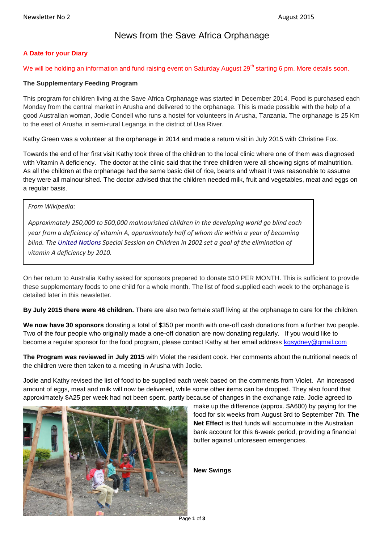# News from the Save Africa Orphanage

## **A Date for your Diary**

We will be holding an information and fund raising event on Saturday August 29<sup>th</sup> starting 6 pm. More details soon.

## **The Supplementary Feeding Program**

This program for children living at the Save Africa Orphanage was started in December 2014. Food is purchased each Monday from the central market in Arusha and delivered to the orphanage. This is made possible with the help of a good Australian woman, Jodie Condell who runs a hostel for volunteers in Arusha, Tanzania. The orphanage is 25 Km to the east of Arusha in semi-rural Leganga in the district of Usa River.

Kathy Green was a volunteer at the orphanage in 2014 and made a return visit in July 2015 with Christine Fox.

Towards the end of her first visit Kathy took three of the children to the local clinic where one of them was diagnosed with Vitamin A deficiency. The doctor at the clinic said that the three children were all showing signs of malnutrition. As all the children at the orphanage had the same basic diet of rice, beans and wheat it was reasonable to assume they were all malnourished. The doctor advised that the children needed milk, fruit and vegetables, meat and eggs on a regular basis.

*From Wikipedia:*

*Approximately 250,000 to 500,000 malnourished children in the developing world go blind each year from a deficiency of vitamin A, approximately half of whom die within a year of becoming blind. The [United Nations](http://en.wikipedia.org/wiki/United_Nations) Special Session on Children in 2002 set a goal of the elimination of vitamin A deficiency by 2010.*

On her return to Australia Kathy asked for sponsors prepared to donate \$10 PER MONTH. This is sufficient to provide these supplementary foods to one child for a whole month. The list of food supplied each week to the orphanage is detailed later in this newsletter.

**By July 2015 there were 46 children.** There are also two female staff living at the orphanage to care for the children.

**We now have 30 sponsors** donating a total of \$350 per month with one-off cash donations from a further two people. Two of the four people who originally made a one-off donation are now donating regularly. If you would like to become a regular sponsor for the food program, please contact Kathy at her email address [kgsydney@gmail.com](mailto:kgsydney@gmail.com)

**The Program was reviewed in July 2015** with Violet the resident cook. Her comments about the nutritional needs of the children were then taken to a meeting in Arusha with Jodie.

Jodie and Kathy revised the list of food to be supplied each week based on the comments from Violet. An increased amount of eggs, meat and milk will now be delivered, while some other items can be dropped. They also found that approximately \$A25 per week had not been spent, partly because of changes in the exchange rate. Jodie agreed to



make up the difference (approx. \$A600) by paying for the food for six weeks from August 3rd to September 7th. **The Net Effect** is that funds will accumulate in the Australian bank account for this 6-week period, providing a financial buffer against unforeseen emergencies.

**New Swings**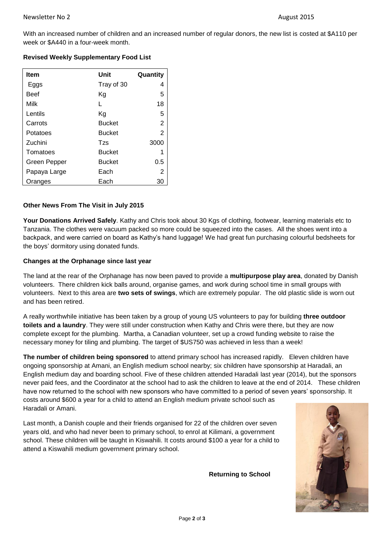With an increased number of children and an increased number of regular donors, the new list is costed at \$A110 per week or \$A440 in a four-week month.

|  | <b>Revised Weekly Supplementary Food List</b> |
|--|-----------------------------------------------|
|  |                                               |

| <b>Item</b>  | Unit          | Quantity       |
|--------------|---------------|----------------|
| Eggs         | Tray of 30    | 4              |
| <b>Beef</b>  | Κg            | 5              |
| Milk         | L             | 18             |
| Lentils      | Κq            | 5              |
| Carrots      | <b>Bucket</b> | 2              |
| Potatoes     | <b>Bucket</b> | $\overline{2}$ |
| Zuchini      | Tzs           | 3000           |
| Tomatoes     | <b>Bucket</b> |                |
| Green Pepper | <b>Bucket</b> | 0.5            |
| Papaya Large | Each          | 2              |
| Oranges      | Each          | 30             |

## **Other News From The Visit in July 2015**

**Your Donations Arrived Safely**. Kathy and Chris took about 30 Kgs of clothing, footwear, learning materials etc to Tanzania. The clothes were vacuum packed so more could be squeezed into the cases. All the shoes went into a backpack, and were carried on board as Kathy's hand luggage! We had great fun purchasing colourful bedsheets for the boys' dormitory using donated funds.

## **Changes at the Orphanage since last year**

The land at the rear of the Orphanage has now been paved to provide a **multipurpose play area**, donated by Danish volunteers. There children kick balls around, organise games, and work during school time in small groups with volunteers. Next to this area are **two sets of swings**, which are extremely popular. The old plastic slide is worn out and has been retired.

A really worthwhile initiative has been taken by a group of young US volunteers to pay for building **three outdoor toilets and a laundry**. They were still under construction when Kathy and Chris were there, but they are now complete except for the plumbing. Martha, a Canadian volunteer, set up a crowd funding website to raise the necessary money for tiling and plumbing. The target of \$US750 was achieved in less than a week!

**The number of children being sponsored** to attend primary school has increased rapidly. Eleven children have ongoing sponsorship at Amani, an English medium school nearby; six children have sponsorship at Haradali, an English medium day and boarding school. Five of these children attended Haradali last year (2014), but the sponsors never paid fees, and the Coordinator at the school had to ask the children to leave at the end of 2014. These children have now returned to the school with new sponsors who have committed to a period of seven years' sponsorship. It costs around \$600 a year for a child to attend an English medium private school such as Haradali or Amani.

Last month, a Danish couple and their friends organised for 22 of the children over seven years old, and who had never been to primary school, to enrol at Kilimani, a government school. These children will be taught in Kiswahili. It costs around \$100 a year for a child to attend a Kiswahili medium government primary school.

**Returning to School**